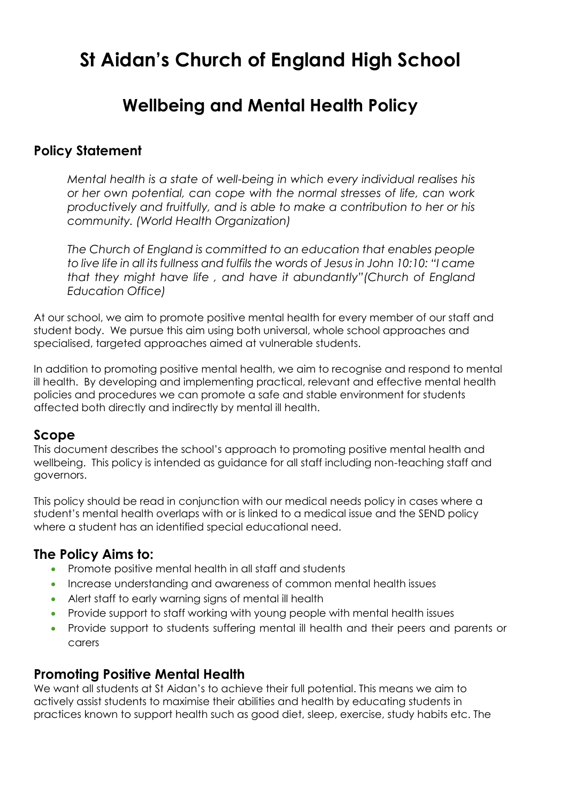# **St Aidan's Church of England High School**

# **Wellbeing and Mental Health Policy**

## **Policy Statement**

*Mental health is a state of well-being in which every individual realises his or her own potential, can cope with the normal stresses of life, can work productively and fruitfully, and is able to make a contribution to her or his community. (World Health Organization)*

*The Church of England is committed to an education that enables people to live life in all its fullness and fulfils the words of Jesus in John 10:10: "I came that they might have life , and have it abundantly"(Church of England Education Office)*

At our school, we aim to promote positive mental health for every member of our staff and student body. We pursue this aim using both universal, whole school approaches and specialised, targeted approaches aimed at vulnerable students.

In addition to promoting positive mental health, we aim to recognise and respond to mental ill health. By developing and implementing practical, relevant and effective mental health policies and procedures we can promote a safe and stable environment for students affected both directly and indirectly by mental ill health.

# **Scope**

This document describes the school's approach to promoting positive mental health and wellbeing. This policy is intended as guidance for all staff including non-teaching staff and governors.

This policy should be read in conjunction with our medical needs policy in cases where a student's mental health overlaps with or is linked to a medical issue and the SEND policy where a student has an identified special educational need.

# **The Policy Aims to:**

- Promote positive mental health in all staff and students
- Increase understanding and awareness of common mental health issues
- Alert staff to early warning signs of mental ill health
- Provide support to staff working with young people with mental health issues
- Provide support to students suffering mental ill health and their peers and parents or carers

# **Promoting Positive Mental Health**

We want all students at St Aidan's to achieve their full potential. This means we aim to actively assist students to maximise their abilities and health by educating students in practices known to support health such as good diet, sleep, exercise, study habits etc. The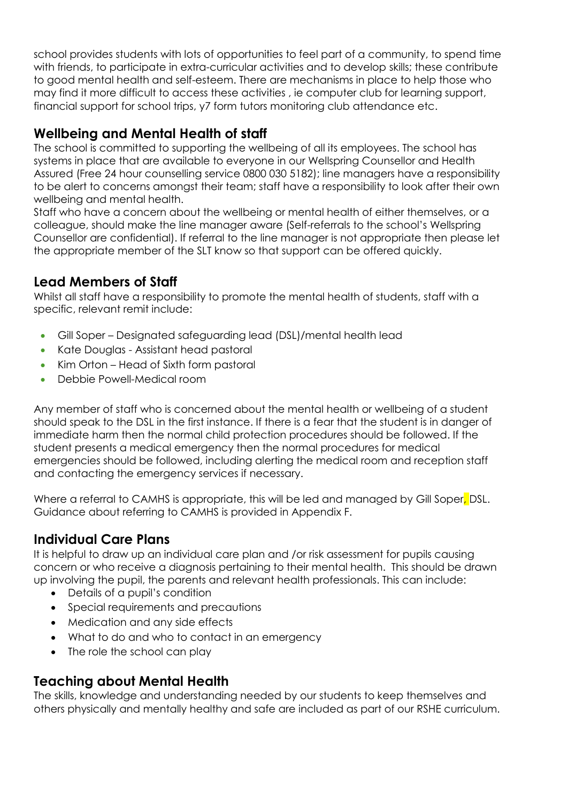school provides students with lots of opportunities to feel part of a community, to spend time with friends, to participate in extra-curricular activities and to develop skills; these contribute to good mental health and self-esteem. There are mechanisms in place to help those who may find it more difficult to access these activities , ie computer club for learning support, financial support for school trips, y7 form tutors monitoring club attendance etc.

# **Wellbeing and Mental Health of staff**

The school is committed to supporting the wellbeing of all its employees. The school has systems in place that are available to everyone in our Wellspring Counsellor and Health Assured (Free 24 hour counselling service 0800 030 5182); line managers have a responsibility to be alert to concerns amongst their team; staff have a responsibility to look after their own wellbeing and mental health.

Staff who have a concern about the wellbeing or mental health of either themselves, or a colleague, should make the line manager aware (Self-referrals to the school's Wellspring Counsellor are confidential). If referral to the line manager is not appropriate then please let the appropriate member of the SLT know so that support can be offered quickly.

# **Lead Members of Staff**

Whilst all staff have a responsibility to promote the mental health of students, staff with a specific, relevant remit include:

- Gill Soper Designated safeguarding lead (DSL)/mental health lead
- Kate Douglas Assistant head pastoral
- Kim Orton Head of Sixth form pastoral
- Debbie Powell-Medical room

Any member of staff who is concerned about the mental health or wellbeing of a student should speak to the DSL in the first instance. If there is a fear that the student is in danger of immediate harm then the normal child protection procedures should be followed. If the student presents a medical emergency then the normal procedures for medical emergencies should be followed, including alerting the medical room and reception staff and contacting the emergency services if necessary.

Where a referral to CAMHS is appropriate, this will be led and managed by Gill Soper, DSL. Guidance about referring to CAMHS is provided in Appendix F.

# **Individual Care Plans**

It is helpful to draw up an individual care plan and /or risk assessment for pupils causing concern or who receive a diagnosis pertaining to their mental health. This should be drawn up involving the pupil, the parents and relevant health professionals. This can include:

- Details of a pupil's condition
- Special requirements and precautions
- Medication and any side effects
- What to do and who to contact in an emergency
- The role the school can play

# **Teaching about Mental Health**

The skills, knowledge and understanding needed by our students to keep themselves and others physically and mentally healthy and safe are included as part of our RSHE curriculum.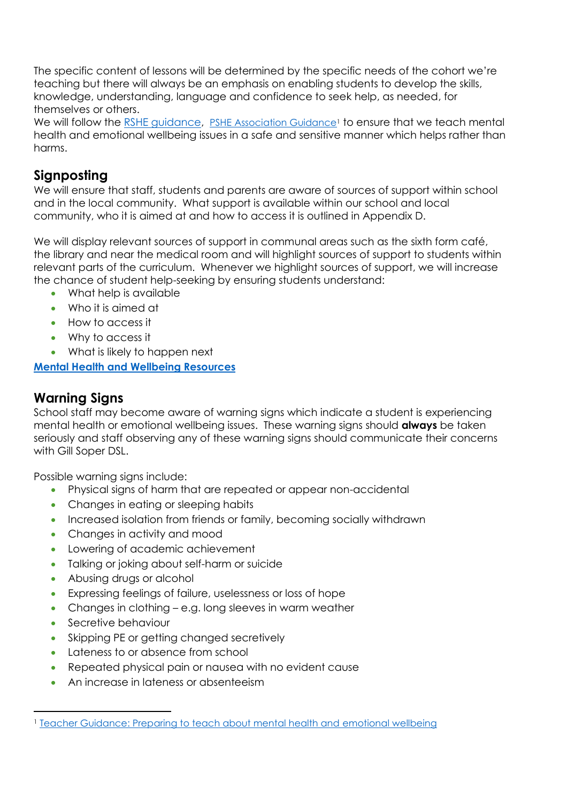The specific content of lessons will be determined by the specific needs of the cohort we're teaching but there will always be an emphasis on enabling students to develop the skills, knowledge, understanding, language and confidence to seek help, as needed, for themselves or others.

We will follow the RSHE quidance, [PSHE Association Guidance](http://www.inourhands.com/wp-content/uploads/2015/03/Preparing-to-teach-about-mental-health-and-emotional-wellbeing-PSHE-Association-March-2015-FINAL.pdf)<sup>1</sup> to ensure that we teach mental health and emotional wellbeing issues in a safe and sensitive manner which helps rather than harms.

# **Signposting**

We will ensure that staff, students and parents are aware of sources of support within school and in the local community. What support is available within our school and local community, who it is aimed at and how to access it is outlined in Appendix D.

We will display relevant sources of support in communal areas such as the sixth form café, the library and near the medical room and will highlight sources of support to students within relevant parts of the curriculum. Whenever we highlight sources of support, we will increase the chance of student help-seeking by ensuring students understand:

- What help is available
- Who it is aimed at
- How to access it
- Why to access it
- What is likely to happen next

**[Mental Health and Wellbeing Resources](https://assets.publishing.service.gov.uk/government/uploads/system/uploads/attachment_data/file/993669/Mental_Health_Resources_for_teachers_and_teaching_staff_June_2021.pdf)**

# **Warning Signs**

School staff may become aware of warning signs which indicate a student is experiencing mental health or emotional wellbeing issues. These warning signs should **always** be taken seriously and staff observing any of these warning signs should communicate their concerns with Gill Soper DSL.

Possible warning signs include:

- Physical signs of harm that are repeated or appear non-accidental
- Changes in eating or sleeping habits
- Increased isolation from friends or family, becoming socially withdrawn
- Changes in activity and mood
- Lowering of academic achievement
- Talking or joking about self-harm or suicide
- Abusing drugs or alcohol
- Expressing feelings of failure, uselessness or loss of hope
- Changes in clothing e.g. long sleeves in warm weather
- Secretive behaviour

 $\overline{a}$ 

- Skipping PE or getting changed secretively
- Lateness to or absence from school
- Repeated physical pain or nausea with no evident cause
- An increase in lateness or absenteeism

<sup>1</sup> [Teacher Guidance: Preparing to teach about mental health and emotional wellbeing](http://www.inourhands.com/wp-content/uploads/2015/03/Preparing-to-teach-about-mental-health-and-emotional-wellbeing-PSHE-Association-March-2015-FINAL.pdf)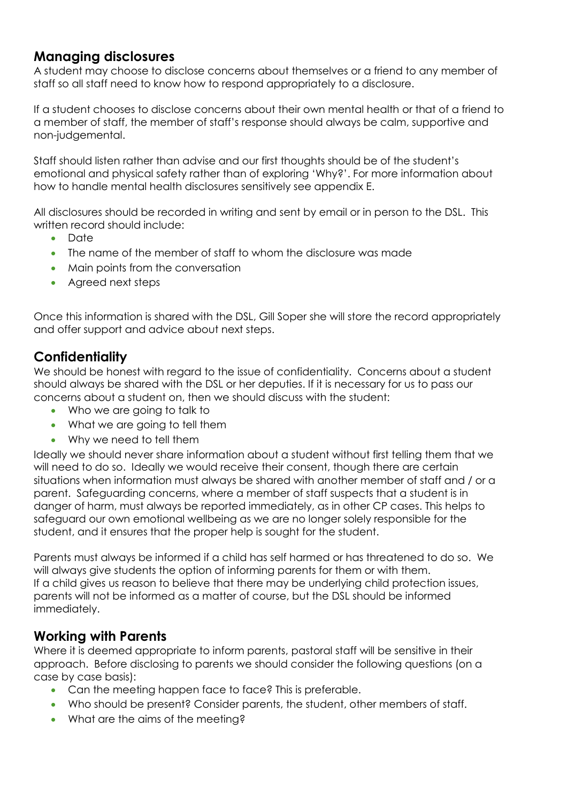# **Managing disclosures**

A student may choose to disclose concerns about themselves or a friend to any member of staff so all staff need to know how to respond appropriately to a disclosure.

If a student chooses to disclose concerns about their own mental health or that of a friend to a member of staff, the member of staff's response should always be calm, supportive and non-judgemental.

Staff should listen rather than advise and our first thoughts should be of the student's emotional and physical safety rather than of exploring 'Why?'. For more information about how to handle mental health disclosures sensitively see appendix E.

All disclosures should be recorded in writing and sent by email or in person to the DSL. This written record should include:

- Date
- The name of the member of staff to whom the disclosure was made
- Main points from the conversation
- Agreed next steps

Once this information is shared with the DSL, Gill Soper she will store the record appropriately and offer support and advice about next steps.

# **Confidentiality**

We should be honest with regard to the issue of confidentiality. Concerns about a student should always be shared with the DSL or her deputies. If it is necessary for us to pass our concerns about a student on, then we should discuss with the student:

- Who we are going to talk to
- What we are going to tell them
- Why we need to tell them

Ideally we should never share information about a student without first telling them that we will need to do so. Ideally we would receive their consent, though there are certain situations when information must always be shared with another member of staff and / or a parent. Safeguarding concerns, where a member of staff suspects that a student is in danger of harm, must always be reported immediately, as in other CP cases. This helps to safeguard our own emotional wellbeing as we are no longer solely responsible for the student, and it ensures that the proper help is sought for the student.

Parents must always be informed if a child has self harmed or has threatened to do so. We will always give students the option of informing parents for them or with them. If a child gives us reason to believe that there may be underlying child protection issues, parents will not be informed as a matter of course, but the DSL should be informed immediately.

# **Working with Parents**

Where it is deemed appropriate to inform parents, pastoral staff will be sensitive in their approach. Before disclosing to parents we should consider the following questions (on a case by case basis):

- Can the meeting happen face to face? This is preferable.
- Who should be present? Consider parents, the student, other members of staff.
- What are the aims of the meeting?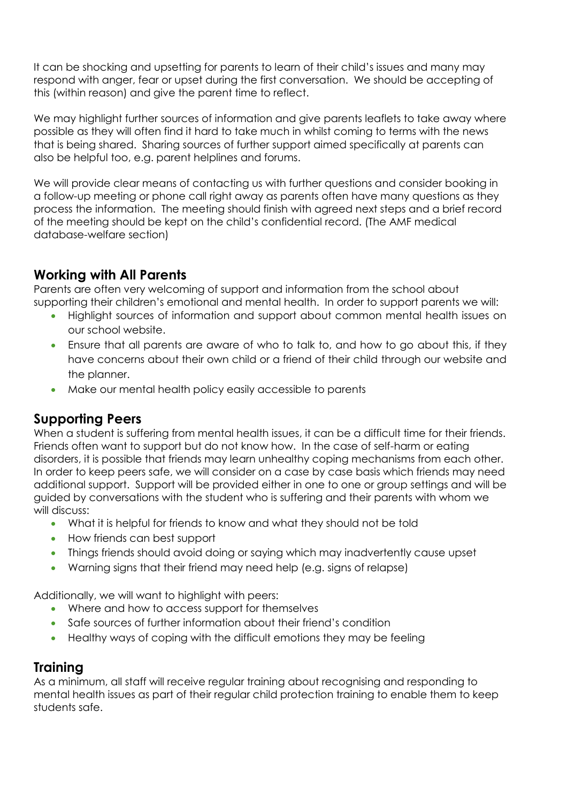It can be shocking and upsetting for parents to learn of their child's issues and many may respond with anger, fear or upset during the first conversation. We should be accepting of this (within reason) and give the parent time to reflect.

We may highlight further sources of information and give parents leaflets to take away where possible as they will often find it hard to take much in whilst coming to terms with the news that is being shared. Sharing sources of further support aimed specifically at parents can also be helpful too, e.g. parent helplines and forums.

We will provide clear means of contacting us with further questions and consider booking in a follow-up meeting or phone call right away as parents often have many questions as they process the information. The meeting should finish with agreed next steps and a brief record of the meeting should be kept on the child's confidential record. (The AMF medical database-welfare section)

# **Working with All Parents**

Parents are often very welcoming of support and information from the school about supporting their children's emotional and mental health. In order to support parents we will:

- Highlight sources of information and support about common mental health issues on our school website.
- Ensure that all parents are aware of who to talk to, and how to go about this, if they have concerns about their own child or a friend of their child through our website and the planner.
- Make our mental health policy easily accessible to parents

# **Supporting Peers**

When a student is suffering from mental health issues, it can be a difficult time for their friends. Friends often want to support but do not know how. In the case of self-harm or eating disorders, it is possible that friends may learn unhealthy coping mechanisms from each other. In order to keep peers safe, we will consider on a case by case basis which friends may need additional support. Support will be provided either in one to one or group settings and will be guided by conversations with the student who is suffering and their parents with whom we will discuss:

- What it is helpful for friends to know and what they should not be told
- How friends can best support
- Things friends should avoid doing or saying which may inadvertently cause upset
- Warning signs that their friend may need help (e.g. signs of relapse)

Additionally, we will want to highlight with peers:

- Where and how to access support for themselves
- Safe sources of further information about their friend's condition
- Healthy ways of coping with the difficult emotions they may be feeling

# **Training**

As a minimum, all staff will receive regular training about recognising and responding to mental health issues as part of their regular child protection training to enable them to keep students safe.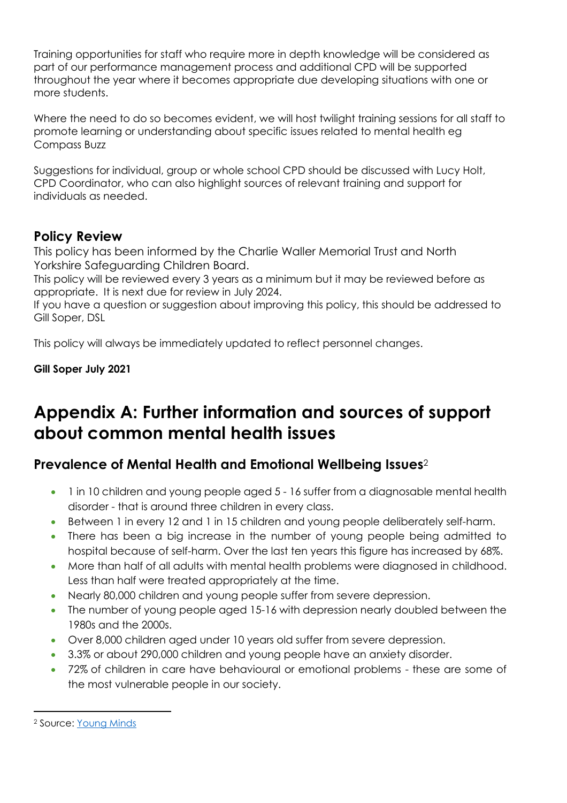Training opportunities for staff who require more in depth knowledge will be considered as part of our performance management process and additional CPD will be supported throughout the year where it becomes appropriate due developing situations with one or more students.

Where the need to do so becomes evident, we will host twilight training sessions for all staff to promote learning or understanding about specific issues related to mental health eg Compass Buzz

Suggestions for individual, group or whole school CPD should be discussed with Lucy Holt, CPD Coordinator, who can also highlight sources of relevant training and support for individuals as needed.

# **Policy Review**

This policy has been informed by the Charlie Waller Memorial Trust and North Yorkshire Safeguarding Children Board.

This policy will be reviewed every 3 years as a minimum but it may be reviewed before as appropriate. It is next due for review in July 2024.

If you have a question or suggestion about improving this policy, this should be addressed to Gill Soper, DSL

This policy will always be immediately updated to reflect personnel changes.

**Gill Soper July 2021**

# **Appendix A: Further information and sources of support about common mental health issues**

# **Prevalence of Mental Health and Emotional Wellbeing Issues**<sup>2</sup>

- 1 in 10 children and young people aged 5 16 suffer from a diagnosable mental health disorder - that is around three children in every class.
- Between 1 in every 12 and 1 in 15 children and young people deliberately self-harm.
- There has been a big increase in the number of young people being admitted to hospital because of self-harm. Over the last ten years this figure has increased by 68%.
- More than half of all adults with mental health problems were diagnosed in childhood. Less than half were treated appropriately at the time.
- Nearly 80,000 children and young people suffer from severe depression.
- The number of young people aged 15-16 with depression nearly doubled between the 1980s and the 2000s.
- Over 8,000 children aged under 10 years old suffer from severe depression.
- 3.3% or about 290,000 children and young people have an anxiety disorder.
- 72% of children in care have behavioural or emotional problems these are some of the most vulnerable people in our society.

 $\overline{a}$ 

<sup>2</sup> Source: [Young Minds](http://www.youngminds.org.uk/training_services/policy/mental_health_statistics)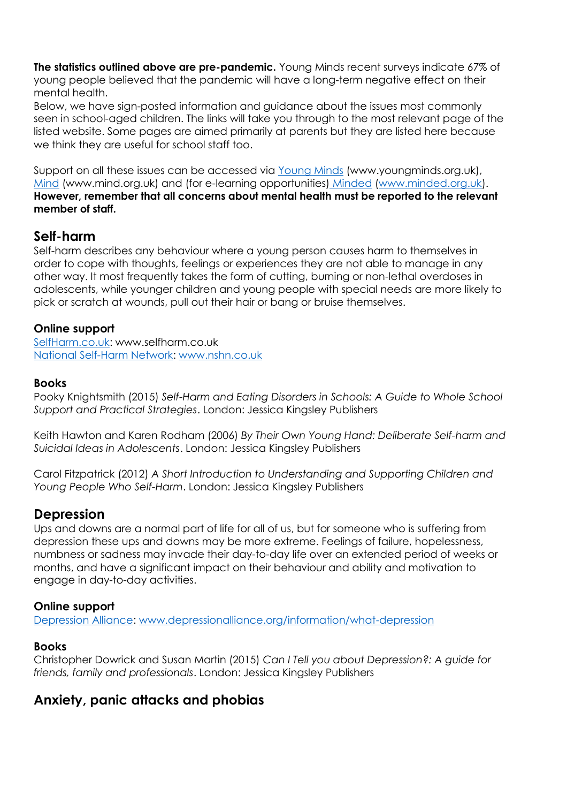**The statistics outlined above are pre-pandemic.** Young Minds recent surveys indicate 67% of young people believed that the pandemic will have a long-term negative effect on their mental health.

Below, we have sign-posted information and guidance about the issues most commonly seen in school-aged children. The links will take you through to the most relevant page of the listed website. Some pages are aimed primarily at parents but they are listed here because we think they are useful for school staff too.

Support on all these issues can be accessed via [Young Minds](http://www.youngminds.org.uk/for_parents/whats_worrying_you_about_your_child/self-harm) (www.youngminds.org.uk), [Mind](http://www.mind.org.uk/information-support/types-of-mental-health-problems/self-harm/#.VMxpXsbA67s) (www.mind.org.uk) and (for e-learning opportunities) [Minded](https://www.minded.org.uk/course/view.php?id=89) [\(www.minded.org.uk\)](http://www.minded.org.uk/). **However, remember that all concerns about mental health must be reported to the relevant member of staff.**

## **Self-harm**

Self-harm describes any behaviour where a young person causes harm to themselves in order to cope with thoughts, feelings or experiences they are not able to manage in any other way. It most frequently takes the form of cutting, burning or non-lethal overdoses in adolescents, while younger children and young people with special needs are more likely to pick or scratch at wounds, pull out their hair or bang or bruise themselves.

## **Online support**

[SelfHarm.co.uk:](https://www.selfharm.co.uk/) www.selfharm.co.uk [National Self-Harm Network: www.nshn.co.uk](http://www.nshn.co.uk/)

#### **Books**

Pooky Knightsmith (2015) *Self-Harm and Eating Disorders in Schools: A Guide to Whole School Support and Practical Strategies*. London: Jessica Kingsley Publishers

Keith Hawton and Karen Rodham (2006) *By Their Own Young Hand: Deliberate Self-harm and Suicidal Ideas in Adolescents*. London: Jessica Kingsley Publishers

Carol Fitzpatrick (2012) *A Short Introduction to Understanding and Supporting Children and Young People Who Self-Harm*. London: Jessica Kingsley Publishers

# **Depression**

Ups and downs are a normal part of life for all of us, but for someone who is suffering from depression these ups and downs may be more extreme. Feelings of failure, hopelessness, numbness or sadness may invade their day-to-day life over an extended period of weeks or months, and have a significant impact on their behaviour and ability and motivation to engage in day-to-day activities.

#### **Online support**

[Depression Alliance: www.depressionalliance.org/information/what-depression](http://www.depressionalliance.org/information/what-depression)

#### **Books**

Christopher Dowrick and Susan Martin (2015) *Can I Tell you about Depression?: A guide for friends, family and professionals*. London: Jessica Kingsley Publishers

# **Anxiety, panic attacks and phobias**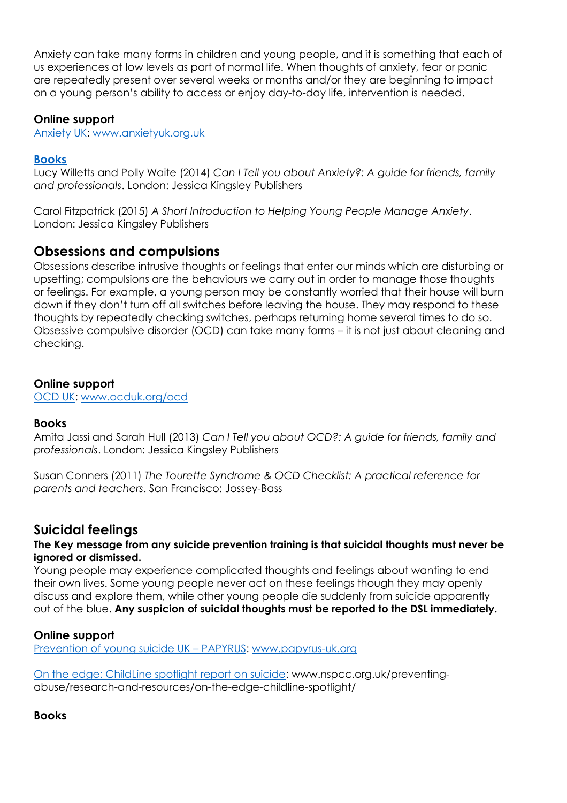Anxiety can take many forms in children and young people, and it is something that each of us experiences at low levels as part of normal life. When thoughts of anxiety, fear or panic are repeatedly present over several weeks or months and/or they are beginning to impact on a young person's ability to access or enjoy day-to-day life, intervention is needed.

#### **Online support**

[Anxiety UK:](https://www.anxietyuk.org.uk/) [www.anxietyuk.org.uk](http://www.anxietyuk.org.uk/)

## **Books**

Lucy Willetts and Polly Waite (2014) *Can I Tell you about Anxiety?: A guide for friends, family and professionals*. London: Jessica Kingsley Publishers

Carol Fitzpatrick (2015) *A Short Introduction to Helping Young People Manage Anxiety*. London: Jessica Kingsley Publishers

## **Obsessions and compulsions**

Obsessions describe intrusive thoughts or feelings that enter our minds which are disturbing or upsetting; compulsions are the behaviours we carry out in order to manage those thoughts or feelings. For example, a young person may be constantly worried that their house will burn down if they don't turn off all switches before leaving the house. They may respond to these thoughts by repeatedly checking switches, perhaps returning home several times to do so. Obsessive compulsive disorder (OCD) can take many forms – it is not just about cleaning and checking.

#### **Online support**

[OCD UK: www.ocduk.org/ocd](http://www.ocduk.org/ocd)

#### **Books**

Amita Jassi and Sarah Hull (2013) *Can I Tell you about OCD?: A guide for friends, family and professionals*. London: Jessica Kingsley Publishers

Susan Conners (2011) *The Tourette Syndrome & OCD Checklist: A practical reference for parents and teachers*. San Francisco: Jossey-Bass

# **Suicidal feelings**

#### **The Key message from any suicide prevention training is that suicidal thoughts must never be ignored or dismissed.**

Young people may experience complicated thoughts and feelings about wanting to end their own lives. Some young people never act on these feelings though they may openly discuss and explore them, while other young people die suddenly from suicide apparently out of the blue. **Any suspicion of suicidal thoughts must be reported to the DSL immediately.**

## **Online support**

[Prevention of young suicide UK](https://www.papyrus-uk.org/) – PAPYRUS: [www.papyrus-uk.org](http://www.papyrus-uk.org/)

[On the edge: ChildLine spotlight report on suicide:](http://www.nspcc.org.uk/preventing-abuse/research-and-resources/on-the-edge-childline-spotlight/) www.nspcc.org.uk/preventingabuse/research-and-resources/on-the-edge-childline-spotlight/

**Books**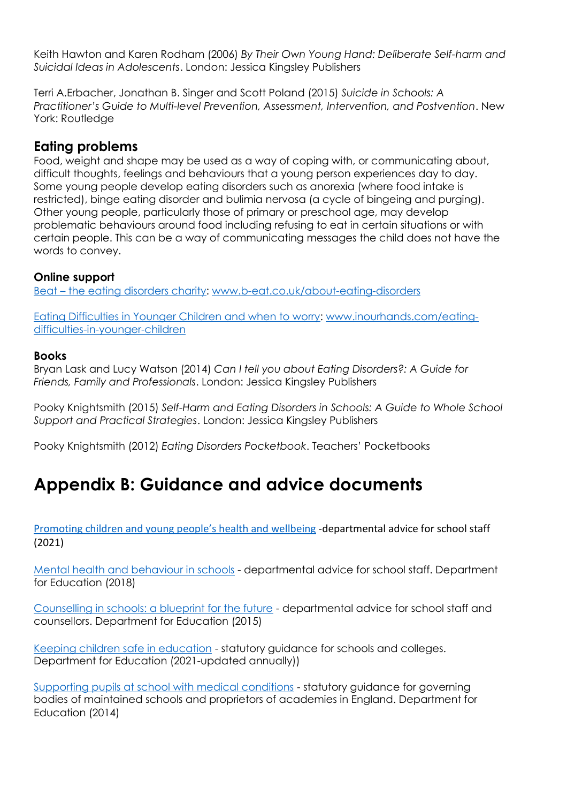Keith Hawton and Karen Rodham (2006) *By Their Own Young Hand: Deliberate Self-harm and Suicidal Ideas in Adolescents*. London: Jessica Kingsley Publishers

Terri A.Erbacher, Jonathan B. Singer and Scott Poland (2015) *Suicide in Schools: A Practitioner's Guide to Multi-level Prevention, Assessment, Intervention, and Postvention*. New York: Routledge

# **Eating problems**

Food, weight and shape may be used as a way of coping with, or communicating about, difficult thoughts, feelings and behaviours that a young person experiences day to day. Some young people develop eating disorders such as anorexia (where food intake is restricted), binge eating disorder and bulimia nervosa (a cycle of bingeing and purging). Other young people, particularly those of primary or preschool age, may develop problematic behaviours around food including refusing to eat in certain situations or with certain people. This can be a way of communicating messages the child does not have the words to convey.

## **Online support**

Beat – [the eating disorders charity:](http://www.b-eat.co.uk/get-help/about-eating-disorders/) [www.b-eat.co.uk/about-eating-disorders](http://www.b-eat.co.uk/about-eating-disorders)

[Eating Difficulties in Younger Children and when to worry:](http://www.inourhands.com/eating-difficulties-in-younger-children/) [www.inourhands.com/eating](http://www.inourhands.com/eating-difficulties-in-younger-children)[difficulties-in-younger-children](http://www.inourhands.com/eating-difficulties-in-younger-children)

#### **Books**

Bryan Lask and Lucy Watson (2014) *Can I tell you about Eating Disorders?: A Guide for Friends, Family and Professionals*. London: Jessica Kingsley Publishers

Pooky Knightsmith (2015) *Self-Harm and Eating Disorders in Schools: A Guide to Whole School Support and Practical Strategies*. London: Jessica Kingsley Publishers

Pooky Knightsmith (2012) *Eating Disorders Pocketbook*. Teachers' Pocketbooks

# **Appendix B: Guidance and advice documents**

[Promoting children and young people](https://assets.publishing.service.gov.uk/government/uploads/system/uploads/attachment_data/file/958151/Promoting_children_and_young_people_s_emotional_health_and_wellbeing_a_whole_school_and_college_approach.pdf)'s health and wellbeing -departmental advice for school staff (2021)

[Mental health and behaviour in schools](http://www.gov.uk/government/publications/mental-health-and-behaviour-in-schools--2) - departmental advice for school staff. Department for Education (2018)

[Counselling in schools: a blueprint for the future](https://www.gov.uk/government/publications/counselling-in-schools) - departmental advice for school staff and counsellors. Department for Education (2015)

[Keeping children safe in education](http://www.gov.uk/government/uploads/system/uploads/attachment_data/file/372753/Keeping%20_children_safe_in_education.pdf) - statutory guidance for schools and colleges. Department for Education (2021-updated annually))

[Supporting pupils at school with medical conditions](http://www.gov.uk/government/uploads/system/uploads/attachment_data/file/349435/Statutor%20y_guidance_on_supporting_pupils_at_school_with_medical_conditions.pdf) - statutory guidance for governing bodies of maintained schools and proprietors of academies in England. Department for Education (2014)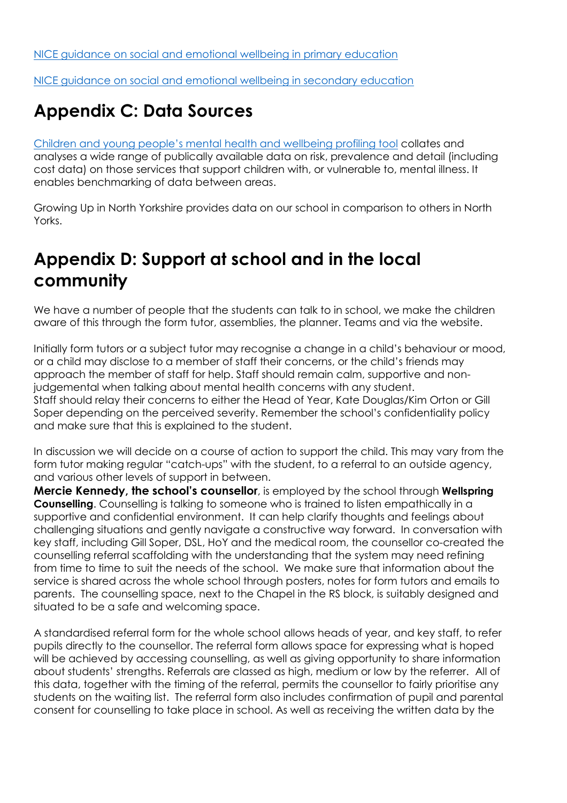[NICE guidance on social and emotional wellbeing in primary education](https://www.nice.org.uk/guidance/ph12)

[NICE guidance on social and emotional wellbeing in secondary education](http://www.nice.org.uk/guidance/ph20) 

# **Appendix C: Data Sources**

Children and young [people's mental health and wellbeing profiling tool](https://fingertips.phe.org.uk/profile-group/mental-health/profile/cypmh) collates and analyses a wide range of publically available data on risk, prevalence and detail (including cost data) on those services that support children with, or vulnerable to, mental illness. It enables benchmarking of data between areas.

Growing Up in North Yorkshire provides data on our school in comparison to others in North Yorks.

# **Appendix D: Support at school and in the local community**

We have a number of people that the students can talk to in school, we make the children aware of this through the form tutor, assemblies, the planner. Teams and via the website.

Initially form tutors or a subject tutor may recognise a change in a child's behaviour or mood, or a child may disclose to a member of staff their concerns, or the child's friends may approach the member of staff for help. Staff should remain calm, supportive and nonjudgemental when talking about mental health concerns with any student. Staff should relay their concerns to either the Head of Year, Kate Douglas/Kim Orton or Gill Soper depending on the perceived severity. Remember the school's confidentiality policy and make sure that this is explained to the student.

In discussion we will decide on a course of action to support the child. This may vary from the form tutor making regular "catch-ups" with the student, to a referral to an outside agency, and various other levels of support in between.

**Mercie Kennedy, the school's counsellor**, is employed by the school through **Wellspring Counselling**. Counselling is talking to someone who is trained to listen empathically in a supportive and confidential environment. It can help clarify thoughts and feelings about challenging situations and gently navigate a constructive way forward. In conversation with key staff, including Gill Soper, DSL, HoY and the medical room, the counsellor co-created the counselling referral scaffolding with the understanding that the system may need refining from time to time to suit the needs of the school. We make sure that information about the service is shared across the whole school through posters, notes for form tutors and emails to parents. The counselling space, next to the Chapel in the RS block, is suitably designed and situated to be a safe and welcoming space.

A standardised referral form for the whole school allows heads of year, and key staff, to refer pupils directly to the counsellor. The referral form allows space for expressing what is hoped will be achieved by accessing counselling, as well as giving opportunity to share information about students' strengths. Referrals are classed as high, medium or low by the referrer. All of this data, together with the timing of the referral, permits the counsellor to fairly prioritise any students on the waiting list. The referral form also includes confirmation of pupil and parental consent for counselling to take place in school. As well as receiving the written data by the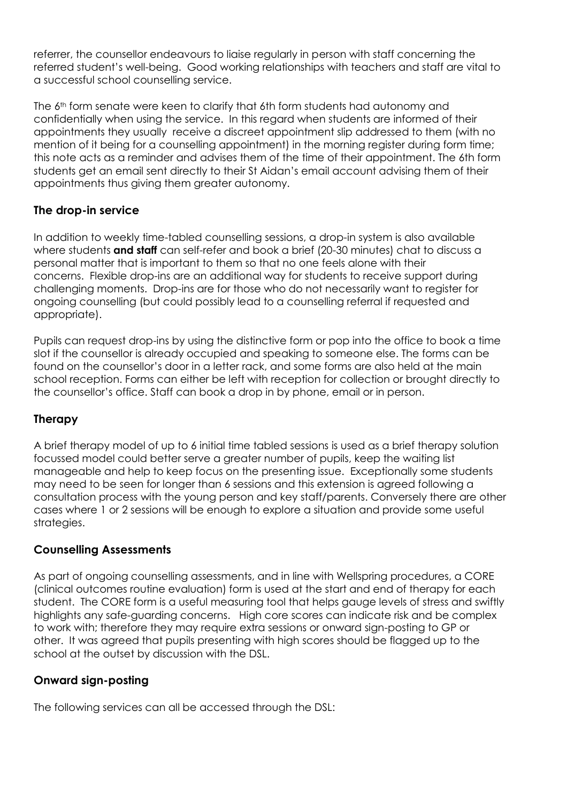referrer, the counsellor endeavours to liaise regularly in person with staff concerning the referred student's well-being. Good working relationships with teachers and staff are vital to a successful school counselling service.

The 6<sup>th</sup> form senate were keen to clarify that 6th form students had autonomy and confidentially when using the service. In this regard when students are informed of their appointments they usually receive a discreet appointment slip addressed to them (with no mention of it being for a counselling appointment) in the morning register during form time; this note acts as a reminder and advises them of the time of their appointment. The 6th form students get an email sent directly to their St Aidan's email account advising them of their appointments thus giving them greater autonomy.

## **The drop-in service**

In addition to weekly time-tabled counselling sessions, a drop-in system is also available where students **and staff** can self-refer and book a brief (20-30 minutes) chat to discuss a personal matter that is important to them so that no one feels alone with their concerns. Flexible drop-ins are an additional way for students to receive support during challenging moments. Drop-ins are for those who do not necessarily want to register for ongoing counselling (but could possibly lead to a counselling referral if requested and appropriate).

Pupils can request drop-ins by using the distinctive form or pop into the office to book a time slot if the counsellor is already occupied and speaking to someone else. The forms can be found on the counsellor's door in a letter rack, and some forms are also held at the main school reception. Forms can either be left with reception for collection or brought directly to the counsellor's office. Staff can book a drop in by phone, email or in person.

## **Therapy**

A brief therapy model of up to 6 initial time tabled sessions is used as a brief therapy solution focussed model could better serve a greater number of pupils, keep the waiting list manageable and help to keep focus on the presenting issue. Exceptionally some students may need to be seen for longer than 6 sessions and this extension is agreed following a consultation process with the young person and key staff/parents. Conversely there are other cases where 1 or 2 sessions will be enough to explore a situation and provide some useful strategies.

## **Counselling Assessments**

As part of ongoing counselling assessments, and in line with Wellspring procedures, a CORE (clinical outcomes routine evaluation) form is used at the start and end of therapy for each student. The CORE form is a useful measuring tool that helps gauge levels of stress and swiftly highlights any safe-guarding concerns. High core scores can indicate risk and be complex to work with; therefore they may require extra sessions or onward sign-posting to GP or other. It was agreed that pupils presenting with high scores should be flagged up to the school at the outset by discussion with the DSL.

# **Onward sign-posting**

The following services can all be accessed through the DSL: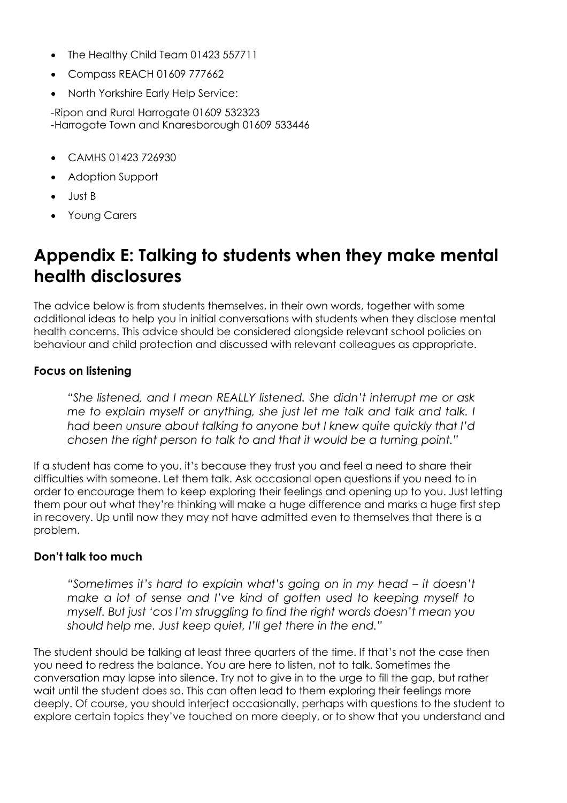- The Healthy Child Team 01423 557711
- Compass REACH 01609 777662
- North Yorkshire Early Help Service:

-Ripon and Rural Harrogate 01609 532323 -Harrogate Town and Knaresborough 01609 533446

- CAMHS 01423 726930
- Adoption Support
- Just B
- Young Carers

# **Appendix E: Talking to students when they make mental health disclosures**

The advice below is from students themselves, in their own words, together with some additional ideas to help you in initial conversations with students when they disclose mental health concerns. This advice should be considered alongside relevant school policies on behaviour and child protection and discussed with relevant colleagues as appropriate.

## **Focus on listening**

*"She listened, and I mean REALLY listened. She didn't interrupt me or ask me to explain myself or anything, she just let me talk and talk and talk. I had been unsure about talking to anyone but I knew quite quickly that I'd chosen the right person to talk to and that it would be a turning point."* 

If a student has come to you, it's because they trust you and feel a need to share their difficulties with someone. Let them talk. Ask occasional open questions if you need to in order to encourage them to keep exploring their feelings and opening up to you. Just letting them pour out what they're thinking will make a huge difference and marks a huge first step in recovery. Up until now they may not have admitted even to themselves that there is a problem.

## **Don't talk too much**

*"Sometimes it's hard to explain what's going on in my head – it doesn't make a lot of sense and I've kind of gotten used to keeping myself to myself. But just 'cos I'm struggling to find the right words doesn't mean you should help me. Just keep quiet, I'll get there in the end."* 

The student should be talking at least three quarters of the time. If that's not the case then you need to redress the balance. You are here to listen, not to talk. Sometimes the conversation may lapse into silence. Try not to give in to the urge to fill the gap, but rather wait until the student does so. This can often lead to them exploring their feelings more deeply. Of course, you should interject occasionally, perhaps with questions to the student to explore certain topics they've touched on more deeply, or to show that you understand and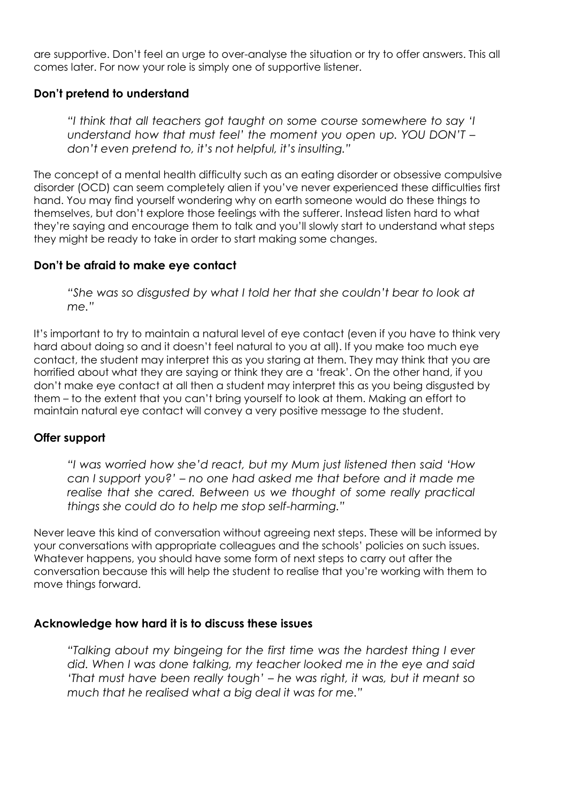are supportive. Don't feel an urge to over-analyse the situation or try to offer answers. This all comes later. For now your role is simply one of supportive listener.

## **Don't pretend to understand**

*"I think that all teachers got taught on some course somewhere to say 'I understand how that must feel' the moment you open up. YOU DON'T – don't even pretend to, it's not helpful, it's insulting."* 

The concept of a mental health difficulty such as an eating disorder or obsessive compulsive disorder (OCD) can seem completely alien if you've never experienced these difficulties first hand. You may find yourself wondering why on earth someone would do these things to themselves, but don't explore those feelings with the sufferer. Instead listen hard to what they're saying and encourage them to talk and you'll slowly start to understand what steps they might be ready to take in order to start making some changes.

## **Don't be afraid to make eye contact**

*"She was so disgusted by what I told her that she couldn't bear to look at me."* 

It's important to try to maintain a natural level of eye contact (even if you have to think very hard about doing so and it doesn't feel natural to you at all). If you make too much eye contact, the student may interpret this as you staring at them. They may think that you are horrified about what they are saying or think they are a 'freak'. On the other hand, if you don't make eye contact at all then a student may interpret this as you being disgusted by them – to the extent that you can't bring yourself to look at them. Making an effort to maintain natural eye contact will convey a very positive message to the student.

## **Offer support**

*"I was worried how she'd react, but my Mum just listened then said 'How can I support you?' – no one had asked me that before and it made me realise that she cared. Between us we thought of some really practical things she could do to help me stop self-harming."* 

Never leave this kind of conversation without agreeing next steps. These will be informed by your conversations with appropriate colleagues and the schools' policies on such issues. Whatever happens, you should have some form of next steps to carry out after the conversation because this will help the student to realise that you're working with them to move things forward.

## **Acknowledge how hard it is to discuss these issues**

*"Talking about my bingeing for the first time was the hardest thing I ever did. When I was done talking, my teacher looked me in the eye and said 'That must have been really tough' – he was right, it was, but it meant so much that he realised what a big deal it was for me."*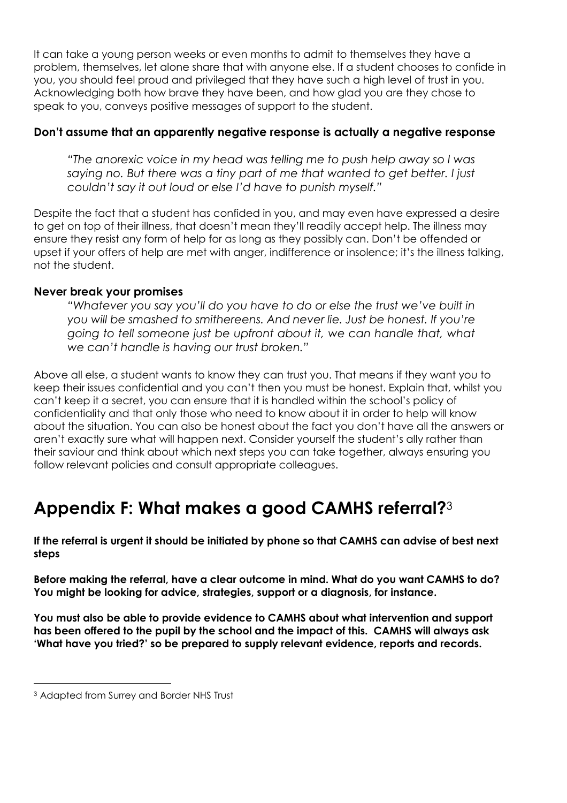It can take a young person weeks or even months to admit to themselves they have a problem, themselves, let alone share that with anyone else. If a student chooses to confide in you, you should feel proud and privileged that they have such a high level of trust in you. Acknowledging both how brave they have been, and how glad you are they chose to speak to you, conveys positive messages of support to the student.

## **Don't assume that an apparently negative response is actually a negative response**

*"The anorexic voice in my head was telling me to push help away so I was saying no. But there was a tiny part of me that wanted to get better. I just couldn't say it out loud or else I'd have to punish myself."* 

Despite the fact that a student has confided in you, and may even have expressed a desire to get on top of their illness, that doesn't mean they'll readily accept help. The illness may ensure they resist any form of help for as long as they possibly can. Don't be offended or upset if your offers of help are met with anger, indifference or insolence; it's the illness talking, not the student.

## **Never break your promises**

*"Whatever you say you'll do you have to do or else the trust we've built in you will be smashed to smithereens. And never lie. Just be honest. If you're going to tell someone just be upfront about it, we can handle that, what we can't handle is having our trust broken."* 

Above all else, a student wants to know they can trust you. That means if they want you to keep their issues confidential and you can't then you must be honest. Explain that, whilst you can't keep it a secret, you can ensure that it is handled within the school's policy of confidentiality and that only those who need to know about it in order to help will know about the situation. You can also be honest about the fact you don't have all the answers or aren't exactly sure what will happen next. Consider yourself the student's ally rather than their saviour and think about which next steps you can take together, always ensuring you follow relevant policies and consult appropriate colleagues.

# **Appendix F: What makes a good CAMHS referral?**<sup>3</sup>

**If the referral is urgent it should be initiated by phone so that CAMHS can advise of best next steps**

**Before making the referral, have a clear outcome in mind. What do you want CAMHS to do? You might be looking for advice, strategies, support or a diagnosis, for instance.** 

**You must also be able to provide evidence to CAMHS about what intervention and support has been offered to the pupil by the school and the impact of this. CAMHS will always ask 'What have you tried?' so be prepared to supply relevant evidence, reports and records.** 

 $\overline{a}$ <sup>3</sup> Adapted from Surrey and Border NHS Trust